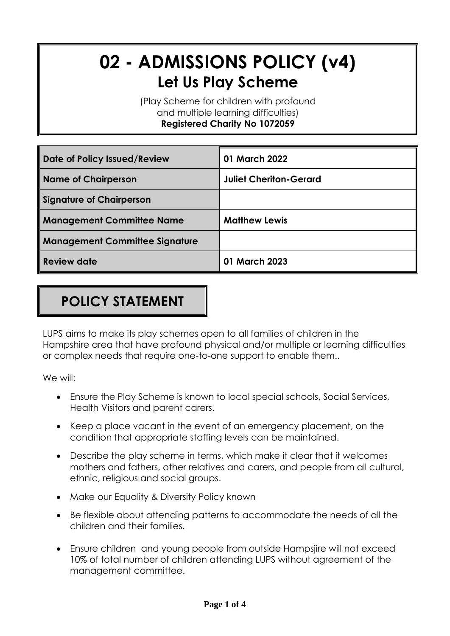# **02 - ADMISSIONS POLICY (v4) Let Us Play Scheme**

(Play Scheme for children with profound and multiple learning difficulties) **Registered Charity No 1072059**

| Date of Policy Issued/Review          | 01 March 2022                 |
|---------------------------------------|-------------------------------|
| <b>Name of Chairperson</b>            | <b>Juliet Cheriton-Gerard</b> |
| <b>Signature of Chairperson</b>       |                               |
| <b>Management Committee Name</b>      | <b>Matthew Lewis</b>          |
| <b>Management Committee Signature</b> |                               |
| Review date                           | 01 March 2023                 |

## **POLICY STATEMENT**

LUPS aims to make its play schemes open to all families of children in the Hampshire area that have profound physical and/or multiple or learning difficulties or complex needs that require one-to-one support to enable them..

We will:

- Ensure the Play Scheme is known to local special schools, Social Services, Health Visitors and parent carers.
- Keep a place vacant in the event of an emergency placement, on the condition that appropriate staffing levels can be maintained.
- Describe the play scheme in terms, which make it clear that it welcomes mothers and fathers, other relatives and carers, and people from all cultural, ethnic, religious and social groups.
- Make our Equality & Diversity Policy known
- Be flexible about attending patterns to accommodate the needs of all the children and their families.
- Ensure children and young people from outside Hampsjire will not exceed 10% of total number of children attending LUPS without agreement of the management committee.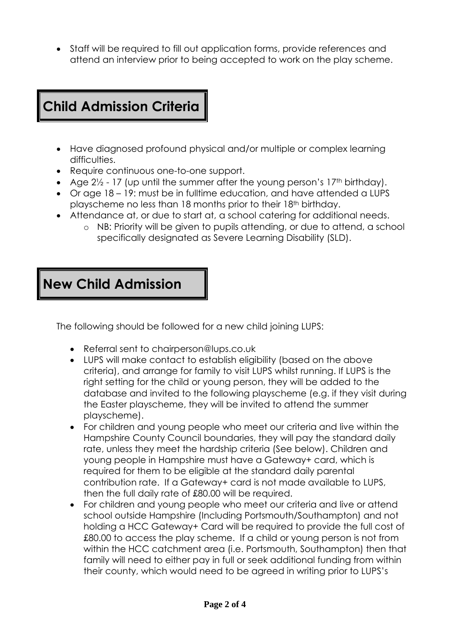• Staff will be required to fill out application forms, provide references and attend an interview prior to being accepted to work on the play scheme.

## **Child Admission Criteria**

- Have diagnosed profound physical and/or multiple or complex learning difficulties.
- Require continuous one-to-one support.
- Age  $2\frac{1}{2}$  17 (up until the summer after the young person's 17<sup>th</sup> birthday).
- Or age 18 19: must be in fulltime education, and have attended a LUPS playscheme no less than 18 months prior to their 18th birthday.
- Attendance at, or due to start at, a school catering for additional needs.
	- o NB: Priority will be given to pupils attending, or due to attend, a school specifically designated as Severe Learning Disability (SLD).

### **New Child Admission**

The following should be followed for a new child joining LUPS:

- Referral sent to chairperson@lups.co.uk
- LUPS will make contact to establish eligibility (based on the above criteria), and arrange for family to visit LUPS whilst running. If LUPS is the right setting for the child or young person, they will be added to the database and invited to the following playscheme (e.g. if they visit during the Easter playscheme, they will be invited to attend the summer playscheme).
- For children and young people who meet our criteria and live within the Hampshire County Council boundaries, they will pay the standard daily rate, unless they meet the hardship criteria (See below). Children and young people in Hampshire must have a Gateway+ card, which is required for them to be eligible at the standard daily parental contribution rate. If a Gateway+ card is not made available to LUPS, then the full daily rate of £80.00 will be required.
- For children and young people who meet our criteria and live or attend school outside Hampshire (Including Portsmouth/Southampton) and not holding a HCC Gateway+ Card will be required to provide the full cost of £80.00 to access the play scheme. If a child or young person is not from within the HCC catchment area (i.e. Portsmouth, Southampton) then that family will need to either pay in full or seek additional funding from within their county, which would need to be agreed in writing prior to LUPS's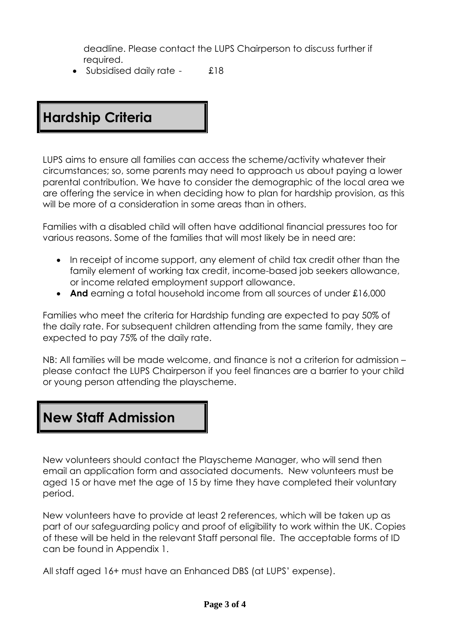deadline. Please contact the LUPS Chairperson to discuss further if required.

• Subsidised daily rate - £18

## **Hardship Criteria**

LUPS aims to ensure all families can access the scheme/activity whatever their circumstances; so, some parents may need to approach us about paying a lower parental contribution. We have to consider the demographic of the local area we are offering the service in when deciding how to plan for hardship provision, as this will be more of a consideration in some areas than in others.

Families with a disabled child will often have additional financial pressures too for various reasons. Some of the families that will most likely be in need are:

- In receipt of income support, any element of child tax credit other than the family element of working tax credit, income-based job seekers allowance, or income related employment support allowance.
- **And** earning a total household income from all sources of under £16,000

Families who meet the criteria for Hardship funding are expected to pay 50% of the daily rate. For subsequent children attending from the same family, they are expected to pay 75% of the daily rate.

NB: All families will be made welcome, and finance is not a criterion for admission – please contact the LUPS Chairperson if you feel finances are a barrier to your child or young person attending the playscheme.

#### **New Staff Admission**

New volunteers should contact the Playscheme Manager, who will send then email an application form and associated documents. New volunteers must be aged 15 or have met the age of 15 by time they have completed their voluntary period.

New volunteers have to provide at least 2 references, which will be taken up as part of our safeguarding policy and proof of eligibility to work within the UK. Copies of these will be held in the relevant Staff personal file. The acceptable forms of ID can be found in Appendix 1.

All staff aged 16+ must have an Enhanced DBS (at LUPS' expense).